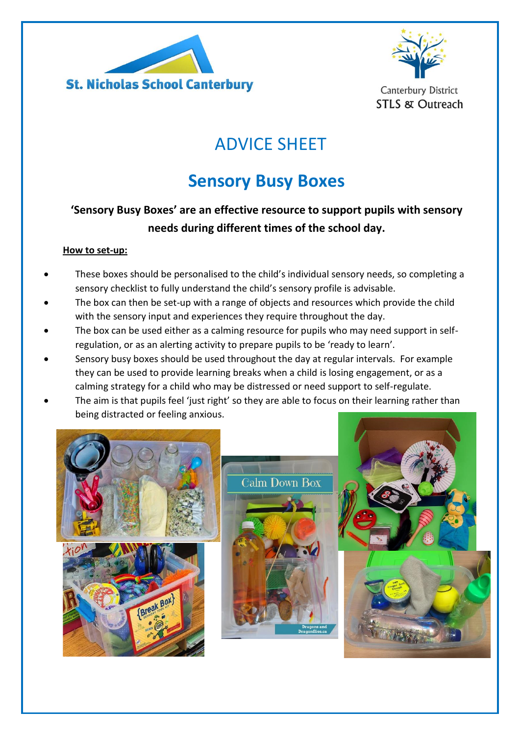



**Canterbury District STLS & Outreach** 

# ADVICE SHEET

# **Sensory Busy Boxes**

### **'Sensory Busy Boxes' are an effective resource to support pupils with sensory needs during different times of the school day.**

#### **How to set-up:**

- These boxes should be personalised to the child's individual sensory needs, so completing a sensory checklist to fully understand the child's sensory profile is advisable.
- The box can then be set-up with a range of objects and resources which provide the child with the sensory input and experiences they require throughout the day.
- The box can be used either as a calming resource for pupils who may need support in selfregulation, or as an alerting activity to prepare pupils to be 'ready to learn'.
- Sensory busy boxes should be used throughout the day at regular intervals. For example they can be used to provide learning breaks when a child is losing engagement, or as a calming strategy for a child who may be distressed or need support to self-regulate.
- The aim is that pupils feel 'just right' so they are able to focus on their learning rather than being distracted or feeling anxious.